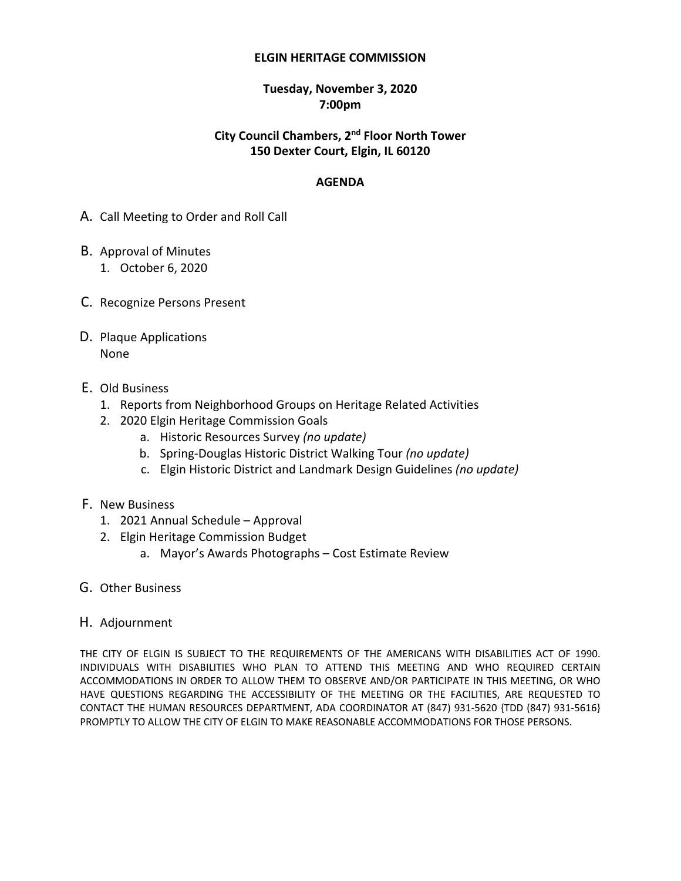#### **ELGIN HERITAGE COMMISSION**

#### **Tuesday, November 3, 2020 7:00pm**

# **City Council Chambers, 2nd Floor North Tower 150 Dexter Court, Elgin, IL 60120**

#### **AGENDA**

- A. Call Meeting to Order and Roll Call
- B. Approval of Minutes 1. October 6, 2020
- C. Recognize Persons Present
- D. Plaque Applications None
- E. Old Business
	- 1. Reports from Neighborhood Groups on Heritage Related Activities
	- 2. 2020 Elgin Heritage Commission Goals
		- a. Historic Resources Survey *(no update)*
		- b. Spring-Douglas Historic District Walking Tour *(no update)*
		- c. Elgin Historic District and Landmark Design Guidelines *(no update)*
- F. New Business
	- 1. 2021 Annual Schedule Approval
	- 2. Elgin Heritage Commission Budget
		- a. Mayor's Awards Photographs Cost Estimate Review
- G. Other Business
- H. Adjournment

THE CITY OF ELGIN IS SUBJECT TO THE REQUIREMENTS OF THE AMERICANS WITH DISABILITIES ACT OF 1990. INDIVIDUALS WITH DISABILITIES WHO PLAN TO ATTEND THIS MEETING AND WHO REQUIRED CERTAIN ACCOMMODATIONS IN ORDER TO ALLOW THEM TO OBSERVE AND/OR PARTICIPATE IN THIS MEETING, OR WHO HAVE QUESTIONS REGARDING THE ACCESSIBILITY OF THE MEETING OR THE FACILITIES, ARE REQUESTED TO CONTACT THE HUMAN RESOURCES DEPARTMENT, ADA COORDINATOR AT (847) 931-5620 {TDD (847) 931-5616} PROMPTLY TO ALLOW THE CITY OF ELGIN TO MAKE REASONABLE ACCOMMODATIONS FOR THOSE PERSONS.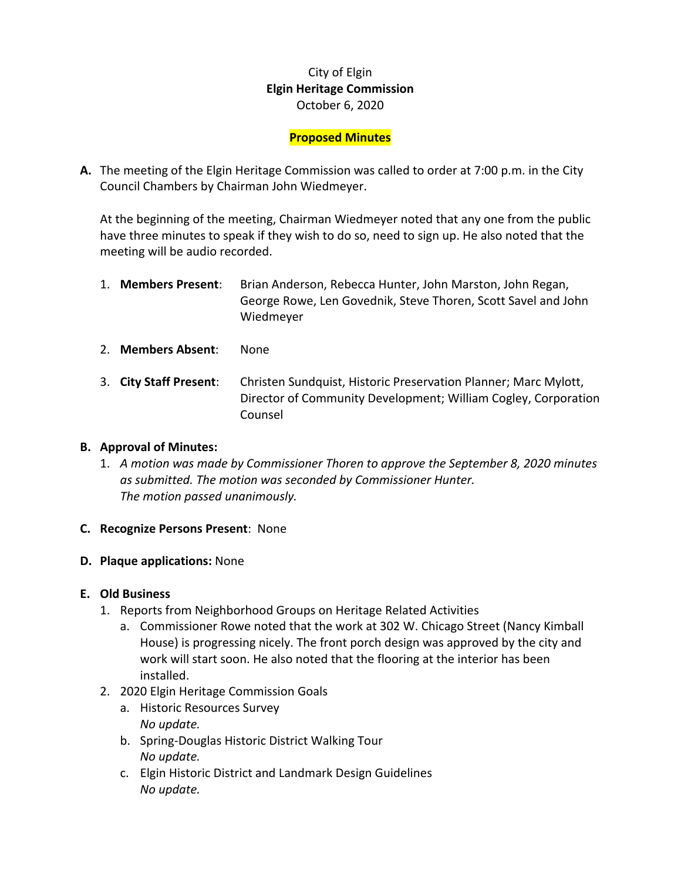# City of Elgin **Elgin Heritage Commission** October 6, 2020

## **Proposed Minutes**

**A.** The meeting of the Elgin Heritage Commission was called to order at 7:00 p.m. in the City Council Chambers by Chairman John Wiedmeyer.

At the beginning of the meeting, Chairman Wiedmeyer noted that any one from the public have three minutes to speak if they wish to do so, need to sign up. He also noted that the meeting will be audio recorded.

| 1. Members Present: | Brian Anderson, Rebecca Hunter, John Marston, John Regan,                  |  |  |
|---------------------|----------------------------------------------------------------------------|--|--|
|                     | George Rowe, Len Govednik, Steve Thoren, Scott Savel and John<br>Wiedmeyer |  |  |
|                     |                                                                            |  |  |

- 2. **Members Absent**: None
- 3. **City Staff Present**: Christen Sundquist, Historic Preservation Planner; Marc Mylott, Director of Community Development; William Cogley, Corporation Counsel

#### **B. Approval of Minutes:**

1. *A motion was made by Commissioner Thoren to approve the September 8, 2020 minutes as submitted. The motion was seconded by Commissioner Hunter. The motion passed unanimously.*

#### **C. Recognize Persons Present**: None

#### **D. Plaque applications:** None

#### **E. Old Business**

- 1. Reports from Neighborhood Groups on Heritage Related Activities
	- a. Commissioner Rowe noted that the work at 302 W. Chicago Street (Nancy Kimball House) is progressing nicely. The front porch design was approved by the city and work will start soon. He also noted that the flooring at the interior has been installed.
- 2. 2020 Elgin Heritage Commission Goals
	- a. Historic Resources Survey *No update.*
	- b. Spring-Douglas Historic District Walking Tour *No update.*
	- c. Elgin Historic District and Landmark Design Guidelines *No update.*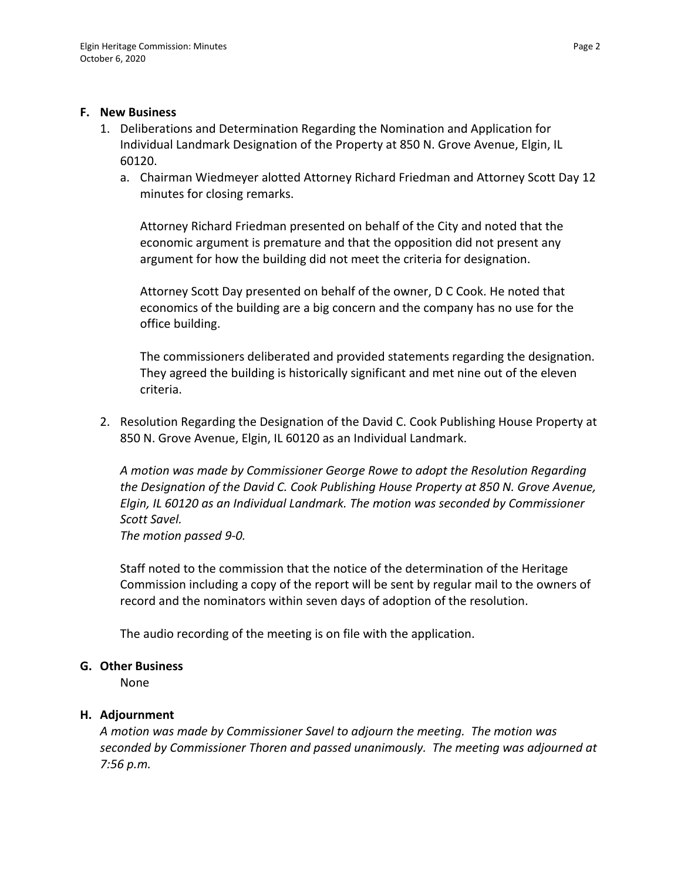#### **F. New Business**

- 1. Deliberations and Determination Regarding the Nomination and Application for Individual Landmark Designation of the Property at 850 N. Grove Avenue, Elgin, IL 60120.
	- a. Chairman Wiedmeyer alotted Attorney Richard Friedman and Attorney Scott Day 12 minutes for closing remarks.

Attorney Richard Friedman presented on behalf of the City and noted that the economic argument is premature and that the opposition did not present any argument for how the building did not meet the criteria for designation.

Attorney Scott Day presented on behalf of the owner, D C Cook. He noted that economics of the building are a big concern and the company has no use for the office building.

The commissioners deliberated and provided statements regarding the designation. They agreed the building is historically significant and met nine out of the eleven criteria.

2. Resolution Regarding the Designation of the David C. Cook Publishing House Property at 850 N. Grove Avenue, Elgin, IL 60120 as an Individual Landmark.

*A motion was made by Commissioner George Rowe to adopt the Resolution Regarding the Designation of the David C. Cook Publishing House Property at 850 N. Grove Avenue, Elgin, IL 60120 as an Individual Landmark. The motion was seconded by Commissioner Scott Savel.*

*The motion passed 9-0.* 

Staff noted to the commission that the notice of the determination of the Heritage Commission including a copy of the report will be sent by regular mail to the owners of record and the nominators within seven days of adoption of the resolution.

The audio recording of the meeting is on file with the application.

# **G. Other Business**

None

# **H. Adjournment**

*A motion was made by Commissioner Savel to adjourn the meeting. The motion was seconded by Commissioner Thoren and passed unanimously. The meeting was adjourned at 7:56 p.m.*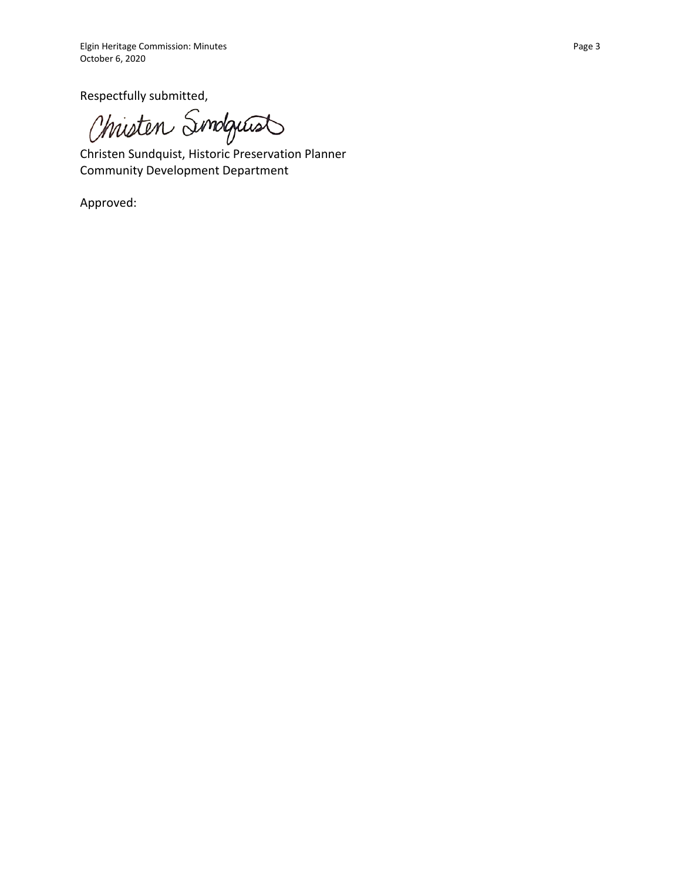Respectfully submitted,

Christen Simologiust

Christen Sundquist, Historic Preservation Planner Community Development Department

Approved: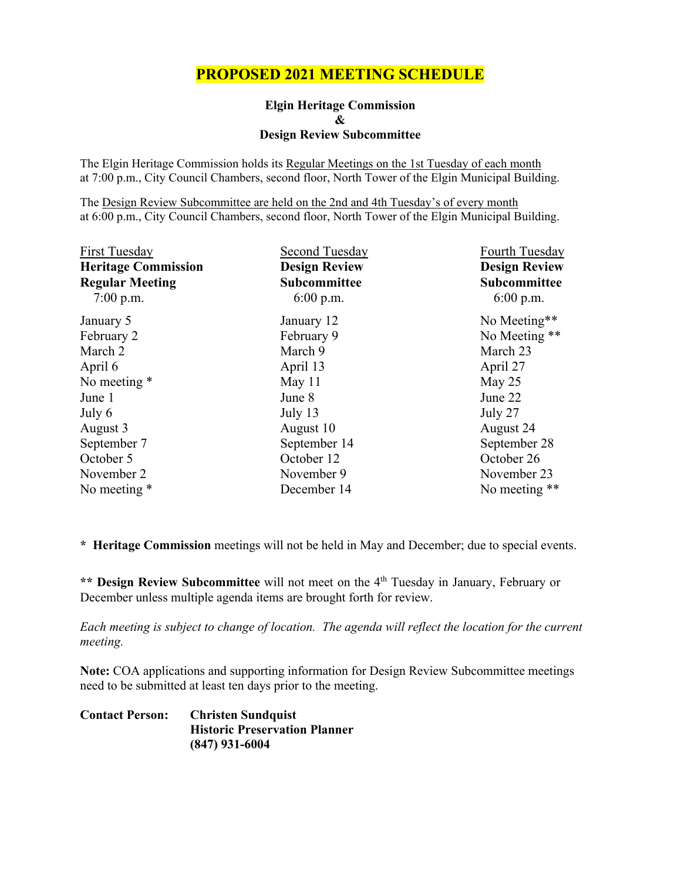# **PROPOSED 2021 MEETING SCHEDULE**

**Elgin Heritage Commission & Design Review Subcommittee**

The Elgin Heritage Commission holds its Regular Meetings on the 1st Tuesday of each month at 7:00 p.m., City Council Chambers, second floor, North Tower of the Elgin Municipal Building.

The Design Review Subcommittee are held on the 2nd and 4th Tuesday's of every month at 6:00 p.m., City Council Chambers, second floor, North Tower of the Elgin Municipal Building.

| First Tuesday              | Second Tuesday       | Fourth Tuesday       |  |
|----------------------------|----------------------|----------------------|--|
| <b>Heritage Commission</b> | <b>Design Review</b> | <b>Design Review</b> |  |
| <b>Regular Meeting</b>     | Subcommittee         | <b>Subcommittee</b>  |  |
| $7:00$ p.m.                | 6:00 p.m.            | $6:00$ p.m.          |  |
| January 5                  | January 12           | No Meeting**         |  |
| February 2                 | February 9           | No Meeting **        |  |
| March 2                    | March 9              | March 23             |  |
| April 6                    | April 13             | April 27             |  |
| No meeting *               | May 11               | May 25               |  |
| June 1                     | June 8               | June 22              |  |
| July 6                     | July 13              | July 27              |  |
| August 3                   | August 10            | August 24            |  |
| September 7                | September 14         | September 28         |  |
| October 5                  | October 12           | October 26           |  |
| November 2                 | November 9           | November 23          |  |
| No meeting *               | December 14          | No meeting **        |  |

**\* Heritage Commission** meetings will not be held in May and December; due to special events.

\*\* **Design Review Subcommittee** will not meet on the 4<sup>th</sup> Tuesday in January, February or December unless multiple agenda items are brought forth for review.

*Each meeting is subject to change of location. The agenda will reflect the location for the current meeting.* 

**Note:** COA applications and supporting information for Design Review Subcommittee meetings need to be submitted at least ten days prior to the meeting.

| <b>Contact Person:</b> | <b>Christen Sundquist</b>            |  |  |  |
|------------------------|--------------------------------------|--|--|--|
|                        | <b>Historic Preservation Planner</b> |  |  |  |
|                        | $(847)$ 931-6004                     |  |  |  |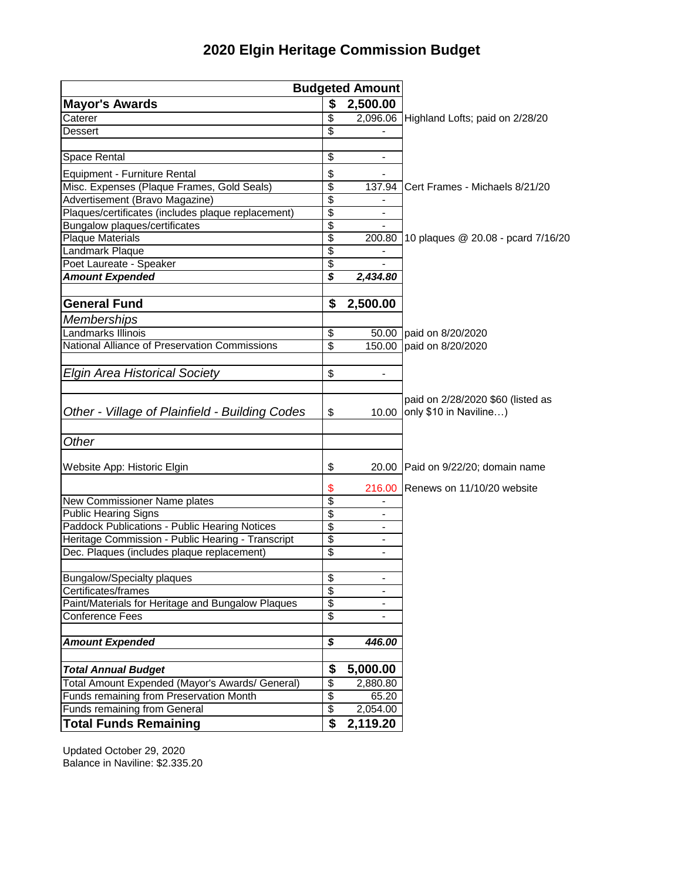| <b>Budgeted Amount</b>                             |          |                              |                                          |
|----------------------------------------------------|----------|------------------------------|------------------------------------------|
| <b>Mayor's Awards</b>                              |          | 2,500.00                     |                                          |
| Caterer                                            | \$<br>\$ |                              | 2,096.06 Highland Lofts; paid on 2/28/20 |
| <b>Dessert</b>                                     | \$       |                              |                                          |
| Space Rental                                       | \$       | -                            |                                          |
| Equipment - Furniture Rental                       | \$       |                              |                                          |
| Misc. Expenses (Plaque Frames, Gold Seals)         | \$       | 137.94                       | Cert Frames - Michaels 8/21/20           |
| Advertisement (Bravo Magazine)                     | \$       |                              |                                          |
| Plaques/certificates (includes plaque replacement) | \$       | $\overline{\phantom{0}}$     |                                          |
| Bungalow plaques/certificates                      | \$       |                              |                                          |
| <b>Plaque Materials</b>                            | \$       | 200.80                       | 10 plaques @ 20.08 - pcard 7/16/20       |
| Landmark Plaque                                    | \$       |                              |                                          |
| Poet Laureate - Speaker                            | \$       |                              |                                          |
| <b>Amount Expended</b>                             | \$       | 2,434.80                     |                                          |
| <b>General Fund</b>                                | \$       | 2,500.00                     |                                          |
| <b>Memberships</b>                                 |          |                              |                                          |
| Landmarks Illinois                                 | \$       |                              | 50.00 paid on 8/20/2020                  |
| National Alliance of Preservation Commissions      | \$       |                              | 150.00 paid on 8/20/2020                 |
|                                                    |          |                              |                                          |
| <b>Elgin Area Historical Society</b>               | \$       |                              |                                          |
|                                                    |          |                              |                                          |
|                                                    |          |                              | paid on 2/28/2020 \$60 (listed as        |
| Other - Village of Plainfield - Building Codes     | \$       | 10.00                        | only \$10 in Naviline)                   |
|                                                    |          |                              |                                          |
| Other                                              |          |                              |                                          |
| Website App: Historic Elgin                        | \$       |                              | 20.00 Paid on 9/22/20; domain name       |
|                                                    | \$       |                              | 216.00 Renews on 11/10/20 website        |
| New Commissioner Name plates                       | \$       |                              |                                          |
| <b>Public Hearing Signs</b>                        | \$       |                              |                                          |
| Paddock Publications - Public Hearing Notices      | \$       | $\overline{\phantom{a}}$     |                                          |
| Heritage Commission - Public Hearing - Transcript  | \$       | $\qquad \qquad \blacksquare$ |                                          |
| Dec. Plaques (includes plaque replacement)         | \$       | $\blacksquare$               |                                          |
|                                                    |          |                              |                                          |
| <b>Bungalow/Specialty plaques</b>                  | \$       | $\blacksquare$               |                                          |
| Certificates/frames                                | \$       | -                            |                                          |
| Paint/Materials for Heritage and Bungalow Plaques  | \$       |                              |                                          |
| Conference Fees                                    | \$       |                              |                                          |
| <b>Amount Expended</b>                             | \$       | 446.00                       |                                          |
|                                                    |          |                              |                                          |
| <b>Total Annual Budget</b>                         | \$       | 5,000.00                     |                                          |
| Total Amount Expended (Mayor's Awards/ General)    | \$       | 2,880.80                     |                                          |
| Funds remaining from Preservation Month            | \$       | 65.20                        |                                          |
| <b>Funds remaining from General</b>                | \$       | 2,054.00                     |                                          |
| <b>Total Funds Remaining</b>                       | \$       | 2,119.20                     |                                          |

# **2020 Elgin Heritage Commission Budget**

Updated October 29, 2020 Balance in Naviline: \$2.335.20